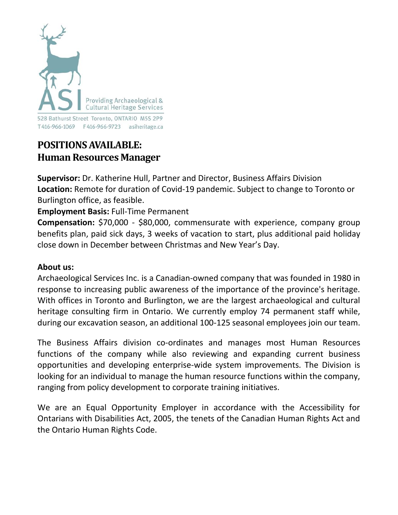

# **POSITIONSAVAILABLE: Human Resources Manager**

**Supervisor:** Dr. Katherine Hull, Partner and Director, Business Affairs Division **Location:** Remote for duration of Covid-19 pandemic. Subject to change to Toronto or Burlington office, as feasible.

## **Employment Basis:** Full-Time Permanent

**Compensation:** \$70,000 - \$80,000, commensurate with experience, company group benefits plan, paid sick days, 3 weeks of vacation to start, plus additional paid holiday close down in December between Christmas and New Year's Day.

#### **About us:**

Archaeological Services Inc. is a Canadian-owned company that was founded in 1980 in response to increasing public awareness of the importance of the province's heritage. With offices in Toronto and Burlington, we are the largest archaeological and cultural heritage consulting firm in Ontario. We currently employ 74 permanent staff while, during our excavation season, an additional 100-125 seasonal employees join our team.

The Business Affairs division co-ordinates and manages most Human Resources functions of the company while also reviewing and expanding current business opportunities and developing enterprise-wide system improvements. The Division is looking for an individual to manage the human resource functions within the company, ranging from policy development to corporate training initiatives.

We are an Equal Opportunity Employer in accordance with the Accessibility for Ontarians with Disabilities Act, 2005, the tenets of the Canadian Human Rights Act and the Ontario Human Rights Code.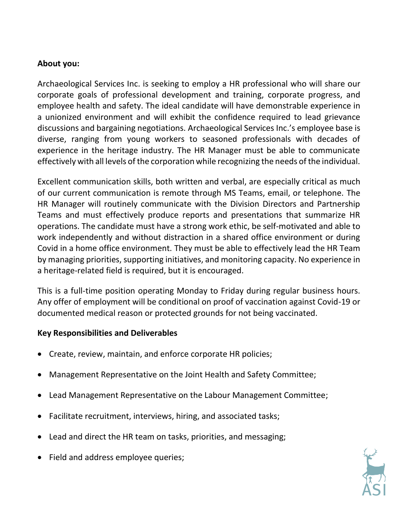#### **About you:**

Archaeological Services Inc. is seeking to employ a HR professional who will share our corporate goals of professional development and training, corporate progress, and employee health and safety. The ideal candidate will have demonstrable experience in a unionized environment and will exhibit the confidence required to lead grievance discussions and bargaining negotiations. Archaeological Services Inc.'s employee base is diverse, ranging from young workers to seasoned professionals with decades of experience in the heritage industry. The HR Manager must be able to communicate effectively with all levels of the corporation while recognizing the needs of the individual.

Excellent communication skills, both written and verbal, are especially critical as much of our current communication is remote through MS Teams, email, or telephone. The HR Manager will routinely communicate with the Division Directors and Partnership Teams and must effectively produce reports and presentations that summarize HR operations. The candidate must have a strong work ethic, be self-motivated and able to work independently and without distraction in a shared office environment or during Covid in a home office environment. They must be able to effectively lead the HR Team by managing priorities, supporting initiatives, and monitoring capacity. No experience in a heritage-related field is required, but it is encouraged.

This is a full-time position operating Monday to Friday during regular business hours. Any offer of employment will be conditional on proof of vaccination against Covid-19 or documented medical reason or protected grounds for not being vaccinated.

#### **Key Responsibilities and Deliverables**

- Create, review, maintain, and enforce corporate HR policies;
- Management Representative on the Joint Health and Safety Committee;
- Lead Management Representative on the Labour Management Committee;
- Facilitate recruitment, interviews, hiring, and associated tasks;
- Lead and direct the HR team on tasks, priorities, and messaging;
- Field and address employee queries;

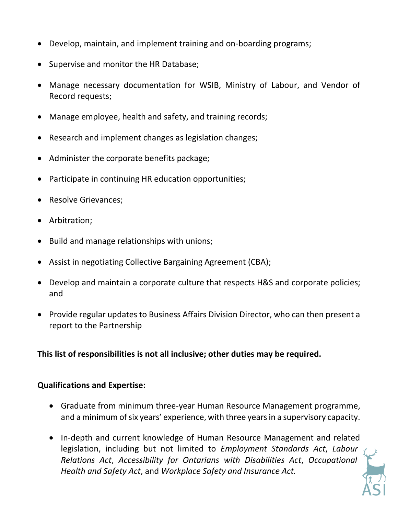- Develop, maintain, and implement training and on-boarding programs;
- Supervise and monitor the HR Database;
- Manage necessary documentation for WSIB, Ministry of Labour, and Vendor of Record requests;
- Manage employee, health and safety, and training records;
- Research and implement changes as legislation changes;
- Administer the corporate benefits package;
- Participate in continuing HR education opportunities;
- Resolve Grievances;
- Arbitration;
- Build and manage relationships with unions;
- Assist in negotiating Collective Bargaining Agreement (CBA);
- Develop and maintain a corporate culture that respects H&S and corporate policies; and
- Provide regular updates to Business Affairs Division Director, who can then present a report to the Partnership

**This list of responsibilities is not all inclusive; other duties may be required.** 

#### **Qualifications and Expertise:**

- Graduate from minimum three-year Human Resource Management programme, and a minimum of six years' experience, with three years in a supervisory capacity.
- In-depth and current knowledge of Human Resource Management and related legislation, including but not limited to *Employment Standards Act*, *Labour Relations Act*, *Accessibility for Ontarians with Disabilities Act*, *Occupational Health and Safety Act*, and *Workplace Safety and Insurance Act.*